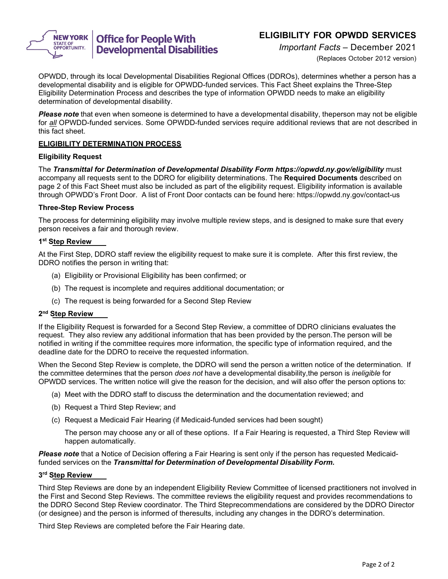

# Office for People With<br>Developmental Disabilities

# **ELIGIBILITY FOR OPWDD SERVICES**

*Important Facts* – December 2021

(Replaces October 2012 version)

OPWDD, through its local Developmental Disabilities Regional Offices (DDROs), determines whether a person has a developmental disability and is eligible for OPWDD-funded services. This Fact Sheet explains the Three-Step Eligibility Determination Process and describes the type of information OPWDD needs to make an eligibility determination of developmental disability.

*Please note* that even when someone is determined to have a developmental disability, theperson may not be eligible for *all* OPWDD-funded services. Some OPWDD-funded services require additional reviews that are not described in this fact sheet.

# **ELIGIBILITY DETERMINATION PROCESS**

## **Eligibility Request**

The *Transmittal for Determination of Developmental Disability Form https://opwdd.ny.gov/eligibility* must accompany all requests sent to the DDRO for eligibility determinations. The **Required Documents** described on page 2 of this Fact Sheet must also be included as part of the eligibility request. Eligibility information is available through OPWDD's Front Door. A list of Front Door contacts can be found here: https://opwdd.ny.gov/contact-us

# **Three-Step Review Process**

The process for determining eligibility may involve multiple review steps, and is designed to make sure that every person receives a fair and thorough review.

## **1st Step Review**

At the First Step, DDRO staff review the eligibility request to make sure it is complete. After this first review, the DDRO notifies the person in writing that:

- (a) Eligibility or Provisional Eligibility has been confirmed; or
- (b) The request is incomplete and requires additional documentation; or
- (c) The request is being forwarded for a Second Step Review

# **2nd Step Review**

If the Eligibility Request is forwarded for a Second Step Review, a committee of DDRO clinicians evaluates the request. They also review any additional information that has been provided by the person.The person will be notified in writing if the committee requires more information, the specific type of information required, and the deadline date for the DDRO to receive the requested information.

When the Second Step Review is complete, the DDRO will send the person a written notice of the determination. If the committee determines that the person *does not* have a developmental disability,the person is *ineligible* for OPWDD services. The written notice will give the reason for the decision, and will also offer the person options to:

- (a) Meet with the DDRO staff to discuss the determination and the documentation reviewed; and
- (b) Request a Third Step Review; and
- (c) Request a Medicaid Fair Hearing (if Medicaid-funded services had been sought)

The person may choose any or all of these options. If a Fair Hearing is requested, a Third Step Review will happen automatically.

*Please note* that a Notice of Decision offering a Fair Hearing is sent only if the person has requested Medicaidfunded services on the *Transmittal for Determination of Developmental Disability Form.*

## **3rd Step Review**

Third Step Reviews are done by an independent Eligibility Review Committee of licensed practitioners not involved in the First and Second Step Reviews. The committee reviews the eligibility request and provides recommendations to the DDRO Second Step Review coordinator. The Third Steprecommendations are considered by the DDRO Director (or designee) and the person is informed of theresults, including any changes in the DDRO's determination.

Third Step Reviews are completed before the Fair Hearing date.